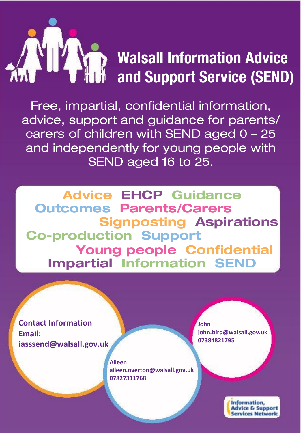

## Walsall Information Advice and Support Service (SEND)

Free, impartial, confidential information, advice, support and guidance for parents/ carers of children with SEND aged 0 – 25 and independently for young people with SEND aged 16 to 25.

Advice EHCP Guidance Outcomes Parents/Carers Signposting Aspirations Co-production Support Young people Confidential Impartial Information SEND

**Contact Information Email: iasssend@walsall.gov.uk**

> **Aileen aileen.overton@walsall.gov.uk 07827311768**

**John john.bird@walsall.gov.uk 07384821795**

> **Information Advice & Support Services Network**